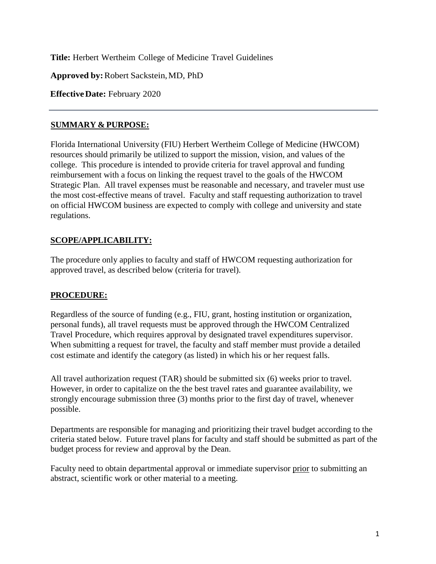**Title:** Herbert Wertheim College of Medicine Travel Guidelines

**Approved by:**Robert Sackstein,MD, PhD

**EffectiveDate:** February 2020

#### **SUMMARY & PURPOSE:**

Florida International University (FIU) Herbert Wertheim College of Medicine (HWCOM) resources should primarily be utilized to support the mission, vision, and values of the college. This procedure is intended to provide criteria for travel approval and funding reimbursement with a focus on linking the request travel to the goals of the HWCOM Strategic Plan. All travel expenses must be reasonable and necessary, and traveler must use the most cost-effective means of travel. Faculty and staff requesting authorization to travel on official HWCOM business are expected to comply with college and university and state regulations.

### **SCOPE/APPLICABILITY:**

The procedure only applies to faculty and staff of HWCOM requesting authorization for approved travel, as described below (criteria for travel).

### **PROCEDURE:**

Regardless of the source of funding (e.g., FIU, grant, hosting institution or organization, personal funds), all travel requests must be approved through the HWCOM Centralized Travel Procedure, which requires approval by designated travel expenditures supervisor. When submitting a request for travel, the faculty and staff member must provide a detailed cost estimate and identify the category (as listed) in which his or her request falls.

All travel authorization request (TAR) should be submitted six (6) weeks prior to travel. However, in order to capitalize on the the best travel rates and guarantee availability, we strongly encourage submission three (3) months prior to the first day of travel, whenever possible.

Departments are responsible for managing and prioritizing their travel budget according to the criteria stated below. Future travel plans for faculty and staff should be submitted as part of the budget process for review and approval by the Dean.

Faculty need to obtain departmental approval or immediate supervisor prior to submitting an abstract, scientific work or other material to a meeting.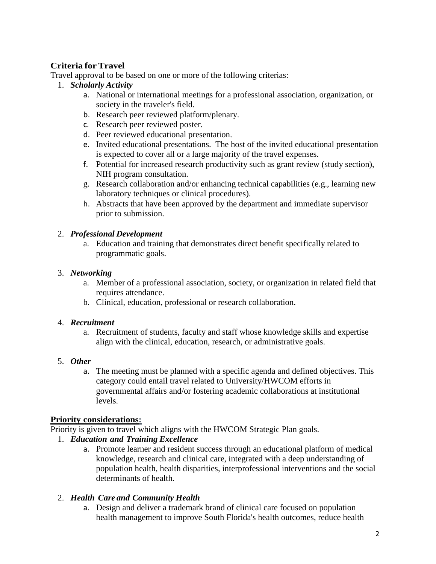# **Criteria for Travel**

Travel approval to be based on one or more of the following criterias:

- 1. *Scholarly Activity*
	- a. National or international meetings for a professional association, organization, or society in the traveler's field.
	- b. Research peer reviewed platform/plenary.
	- c. Research peer reviewed poster.
	- d. Peer reviewed educational presentation.
	- e. Invited educational presentations. The host of the invited educational presentation is expected to cover all or a large majority of the travel expenses.
	- f. Potential for increased research productivity such as grant review (study section), NIH program consultation.
	- g. Research collaboration and/or enhancing technical capabilities (e.g., learning new laboratory techniques or clinical procedures).
	- h. Abstracts that have been approved by the department and immediate supervisor prior to submission.

## 2. *Professional Development*

a. Education and training that demonstrates direct benefit specifically related to programmatic goals.

## 3. *Networking*

- a. Member of a professional association, society, or organization in related field that requires attendance.
- b. Clinical, education, professional or research collaboration.

### 4. *Recruitment*

a. Recruitment of students, faculty and staff whose knowledge skills and expertise align with the clinical, education, research, or administrative goals.

## 5. *Other*

a. The meeting must be planned with a specific agenda and defined objectives. This category could entail travel related to University/HWCOM efforts in governmental affairs and/or fostering academic collaborations at institutional levels.

## **Priority considerations:**

Priority is given to travel which aligns with the HWCOM Strategic Plan goals.

- 1. *Education and Training Excellence*
	- a. Promote learner and resident success through an educational platform of medical knowledge, research and clinical care, integrated with a deep understanding of population health, health disparities, interprofessional interventions and the social determinants of health.

## 2. *Health Care and Community Health*

a. Design and deliver a trademark brand of clinical care focused on population health management to improve South Florida's health outcomes, reduce health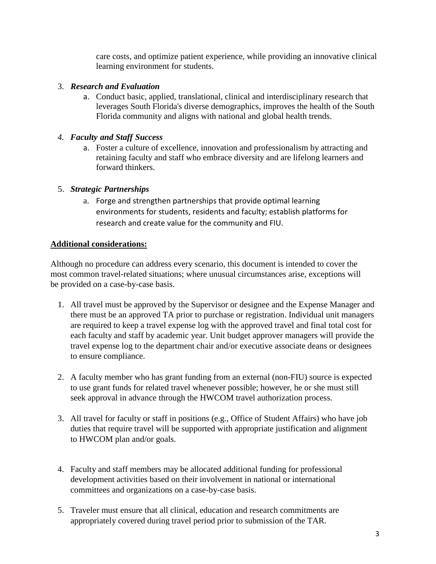care costs, and optimize patient experience, while providing an innovative clinical learning environment for students.

### 3. *Research and Evaluation*

a. Conduct basic, applied, translational, clinical and interdisciplinary research that leverages South Florida's diverse demographics, improves the health of the South Florida community and aligns with national and global health trends.

## *4. Faculty and Staff Success*

a. Foster a culture of excellence, innovation and professionalism by attracting and retaining faculty and staff who embrace diversity and are lifelong learners and forward thinkers.

## 5. *Strategic Partnerships*

a. Forge and strengthen partnerships that provide optimal learning environments for students, residents and faculty; establish platforms for research and create value for the community and FIU.

## **Additional considerations:**

Although no procedure can address every scenario, this document is intended to cover the most common travel-related situations; where unusual circumstances arise, exceptions will be provided on a case-by-case basis.

- 1. All travel must be approved by the Supervisor or designee and the Expense Manager and there must be an approved TA prior to purchase or registration. Individual unit managers are required to keep a travel expense log with the approved travel and final total cost for each faculty and staff by academic year. Unit budget approver managers will provide the travel expense log to the department chair and/or executive associate deans or designees to ensure compliance.
- 2. A faculty member who has grant funding from an external (non-FIU) source is expected to use grant funds for related travel whenever possible; however, he or she must still seek approval in advance through the HWCOM travel authorization process.
- 3. All travel for faculty or staff in positions (e.g., Office of Student Affairs) who have job duties that require travel will be supported with appropriate justification and alignment to HWCOM plan and/or goals.
- 4. Faculty and staff members may be allocated additional funding for professional development activities based on their involvement in national or international committees and organizations on a case-by-case basis.
- 5. Traveler must ensure that all clinical, education and research commitments are appropriately covered during travel period prior to submission of the TAR.